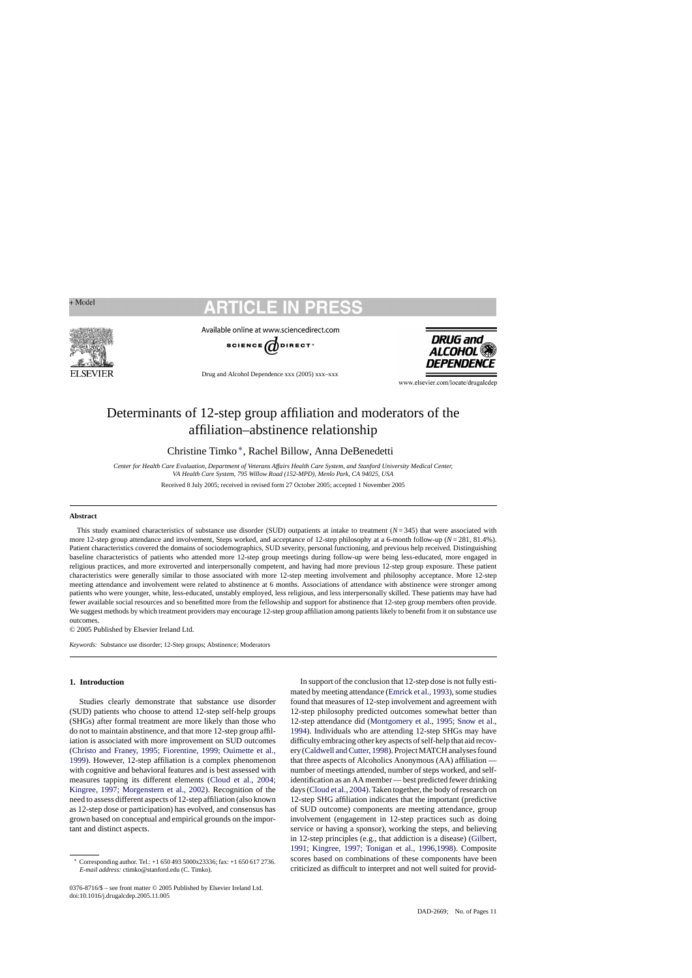**FI SEVIER** 

Available online at www.sciencedirect.com



Drug and Alcohol Dependence xxx (2005) xxx–xxx

**DRUG and ALCOHOL** DEPENDEN

www.elsevier.com/locate/drugalcdep

# Determinants of 12-step group affiliation and moderators of the affiliation–abstinence relationship

Christine Timko ∗, Rachel Billow, Anna DeBenedetti

Center for Health Care Evaluation, Department of Veterans Affairs Health Care System, and Stanford University Medical Center, *VA Health Care System, 795 Willow Road (152-MPD), Menlo Park, CA 94025, USA*

Received 8 July 2005; received in revised form 27 October 2005; accepted 1 November 2005

#### **Abstract**

This study examined characteristics of substance use disorder (SUD) outpatients at intake to treatment  $(N=345)$  that were associated with more 12-step group attendance and involvement, Steps worked, and acceptance of 12-step philosophy at a 6-month follow-up ( $N = 281, 81.4\%$ ). Patient characteristics covered the domains of sociodemographics, SUD severity, personal functioning, and previous help received. Distinguishing baseline characteristics of patients who attended more 12-step group meetings during follow-up were being less-educated, more engaged in religious practices, and more extroverted and interpersonally competent, and having had more previous 12-step group exposure. These patient characteristics were generally similar to those associated with more 12-step meeting involvement and philosophy acceptance. More 12-step meeting attendance and involvement were related to abstinence at 6 months. Associations of attendance with abstinence were stronger among patients who were younger, white, less-educated, unstably employed, less religious, and less interpersonally skilled. These patients may have had fewer available social resources and so benefitted more from the fellowship and support for abstinence that 12-step group members often provide. We suggest methods by which treatment providers may encourage 12-step group affiliation among patients likely to benefit from it on substance use outcomes.

© 2005 Published by Elsevier Ireland Ltd.

*Keywords:* Substance use disorder; 12-Step groups; Abstinence; Moderators

# **1. Introduction**

Studies clearly demonstrate that substance use disorder (SUD) patients who choose to attend 12-step self-help groups (SHGs) after formal treatment are more likely than those who do not to maintain abstinence, and that more 12-step group affiliation is associated with more improvement on SUD outcomes ([Christo and Franey, 1995; Fiorentine, 1999; Ouimette et al.,](#page-8-0)  [1999\).](#page-8-0) However, 12-step affiliation is a complex phenomenon with cognitive and behavioral features and is best assessed with measures tapping its different elements ([Cloud et al., 2004;](#page-8-0)  [Kingree, 1997; Morgenstern et al., 2002\).](#page-8-0) Recognition of the need to assess different aspects of 12-step affiliation (also known as 12-step dose or participation) has evolved, and consensus has grown based on conceptual and empirical grounds on the important and distinct aspects.

0376-8716/\$ – see front matter © 2005 Published by Elsevier Ireland Ltd. doi:10.1016/j.drugalcdep.2005.11.005

In support of the conclusion that 12-step dose is not fully estimated by meeting attendance ([Emrick et al., 1993\),](#page-8-0) some studies found that measures of 12-step involvement and agreement with 12-step philosophy predicted outcomes somewhat better than 12-step attendance did ([Montgomery et al., 1995; Snow et al.,](#page-9-0)  [1994\).](#page-9-0) Individuals who are attending 12-step SHGs may have difficulty embracing other key aspects of self-help that aid recovery [\(Caldwell and Cutter, 1998\).](#page-8-0) Project MATCH analyses found that three aspects of Alcoholics Anonymous (AA) affiliation number of meetings attended, number of steps worked, and selfidentification as an AA member — best predicted fewer drinking days ([Cloud et al., 2004\).](#page-8-0) Taken together, the body of research on 12-step SHG affiliation indicates that the important (predictive of SUD outcome) components are meeting attendance, group involvement (engagement in 12-step practices such as doing service or having a sponsor), working the steps, and believing in 12-step principles (e.g., that addiction is a disease) ([Gilbert,](#page-8-0)  [1991; Kingree, 1997; Tonigan et al., 1996,1998\).](#page-8-0) Composite scores based on combinations of these components have been criticized as difficult to interpret and not well suited for provid-

<sup>∗</sup> Corresponding author. Tel.: +1 650 493 5000x23336; fax: +1 650 617 2736. *E-mail address:* ctimko@stanford.edu (C. Timko).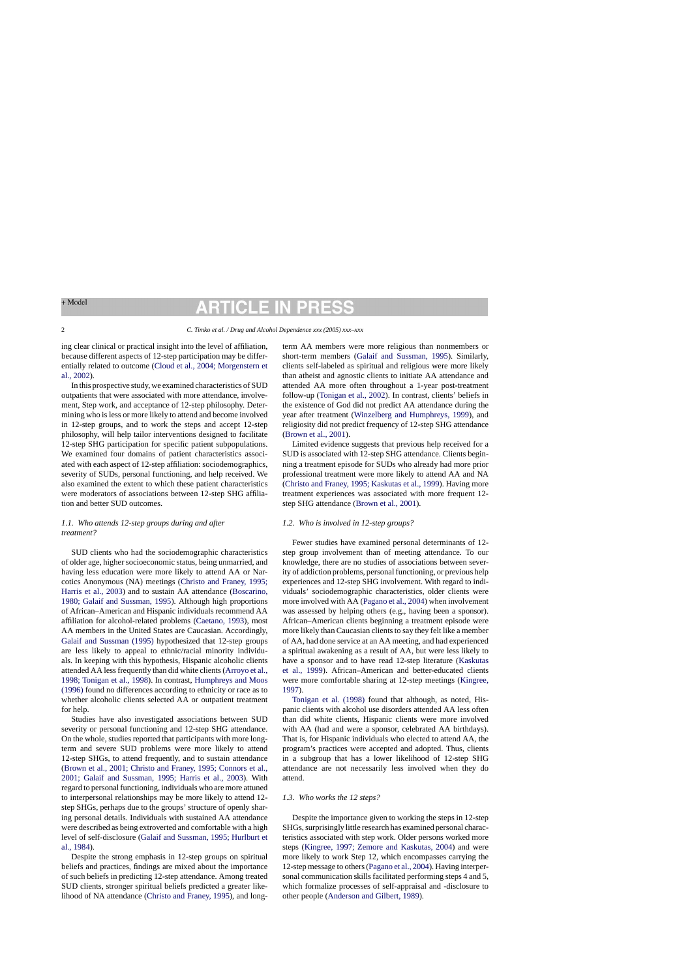# RTICLE II

ing clear clinical or practical insight into the level of affiliation, because different aspects of 12-step participation may be differentially related to outcome ([Cloud et al., 2004; Morgenstern et](#page-8-0)  [al., 2002\).](#page-8-0)

In this prospective study, we examined characteristics of SUD outpatients that were associated with more attendance, involvement, Step work, and acceptance of 12-step philosophy. Determining who is less or more likely to attend and become involved in 12-step groups, and to work the steps and accept 12-step philosophy, will help tailor interventions designed to facilitate 12-step SHG participation for specific patient subpopulations. We examined four domains of patient characteristics associated with each aspect of 12-step affiliation: sociodemographics, severity of SUDs, personal functioning, and help received. We also examined the extent to which these patient characteristics were moderators of associations between 12-step SHG affiliation and better SUD outcomes.

## *1.1. Who attends 12-step groups during and after treatment?*

SUD clients who had the sociodemographic characteristics of older age, higher socioeconomic status, being unmarried, and having less education were more likely to attend AA or Narcotics Anonymous (NA) meetings [\(Christo and Franey, 1995;](#page-8-0)  [Harris et al., 2003\)](#page-8-0) and to sustain AA attendance [\(Boscarino,](#page-8-0)  [1980; Galaif and Sussman, 1995\).](#page-8-0) Although high proportions of African–American and Hispanic individuals recommend AA affiliation for alcohol-related problems ([Caetano, 1993\),](#page-8-0) most AA members in the United States are Caucasian. Accordingly, [Galaif and Sussman \(1995\) h](#page-8-0)ypothesized that 12-step groups are less likely to appeal to ethnic/racial minority individuals. In keeping with this hypothesis, Hispanic alcoholic clients attended AA less frequently than did white clients [\(Arroyo et al.,](#page-8-0)  [1998; Tonigan et al., 1998\).](#page-8-0) In contrast, [Humphreys and Moos](#page-9-0)  [\(1996\) f](#page-9-0)ound no differences according to ethnicity or race as to whether alcoholic clients selected AA or outpatient treatment for help.

Studies have also investigated associations between SUD severity or personal functioning and 12-step SHG attendance. On the whole, studies reported that participants with more longterm and severe SUD problems were more likely to attend 12-step SHGs, to attend frequently, and to sustain attendance [\(Brown et al., 2001; Christo and Franey, 1995; Connors et al.,](#page-8-0)  [2001; Galaif and Sussman, 1995; Harris et al., 2003\).](#page-8-0) With regard to personal functioning, individuals who are more attuned to interpersonal relationships may be more likely to attend 12 step SHGs, perhaps due to the groups' structure of openly sharing personal details. Individuals with sustained AA attendance were described as being extroverted and comfortable with a high level of self-disclosure [\(Galaif and Sussman, 1995; Hurlburt et](#page-8-0)  [al., 1984\).](#page-8-0)

Despite the strong emphasis in 12-step groups on spiritual beliefs and practices, findings are mixed about the importance of such beliefs in predicting 12-step attendance. Among treated SUD clients, stronger spiritual beliefs predicted a greater likelihood of NA attendance ([Christo and Franey, 1995\),](#page-8-0) and longterm AA members were more religious than nonmembers or short-term members [\(Galaif and Sussman, 1995\).](#page-8-0) Similarly, clients self-labeled as spiritual and religious were more likely than atheist and agnostic clients to initiate AA attendance and attended AA more often throughout a 1-year post-treatment follow-up ([Tonigan et al., 2002\).](#page-10-0) In contrast, clients' beliefs in the existence of God did not predict AA attendance during the year after treatment [\(Winzelberg and Humphreys, 1999\),](#page-10-0) and religiosity did not predict frequency of 12-step SHG attendance [\(Brown et al., 2001\).](#page-8-0)

Limited evidence suggests that previous help received for a SUD is associated with 12-step SHG attendance. Clients beginning a treatment episode for SUDs who already had more prior professional treatment were more likely to attend AA and NA [\(Christo and Franey, 1995; Kaskutas et al., 1999\).](#page-8-0) Having more treatment experiences was associated with more frequent 12 step SHG attendance [\(Brown et al., 2001\).](#page-8-0)

#### *1.2. Who is involved in 12-step groups?*

Fewer studies have examined personal determinants of 12 step group involvement than of meeting attendance. To our knowledge, there are no studies of associations between severity of addiction problems, personal functioning, or previous help experiences and 12-step SHG involvement. With regard to individuals' sociodemographic characteristics, older clients were more involved with AA [\(Pagano et al., 2004\)](#page-9-0) when involvement was assessed by helping others (e.g., having been a sponsor). African–American clients beginning a treatment episode were more likely than Caucasian clients to say they felt like a member of AA, had done service at an AA meeting, and had experienced a spiritual awakening as a result of AA, but were less likely to have a sponsor and to have read 12-step literature [\(Kaskutas](#page-9-0)  [et al., 1999\).](#page-9-0) African–American and better-educated clients were more comfortable sharing at 12-step meetings [\(Kingree,](#page-9-0)  [1997\).](#page-9-0)

[Tonigan et al. \(1998\) f](#page-9-0)ound that although, as noted, Hispanic clients with alcohol use disorders attended AA less often than did white clients, Hispanic clients were more involved with AA (had and were a sponsor, celebrated AA birthdays). That is, for Hispanic individuals who elected to attend AA, the program's practices were accepted and adopted. Thus, clients in a subgroup that has a lower likelihood of 12-step SHG attendance are not necessarily less involved when they do attend.

### *1.3. Who works the 12 steps?*

Despite the importance given to working the steps in 12-step SHGs, surprisingly little research has examined personal characteristics associated with step work. Older persons worked more steps ([Kingree, 1997; Zemore and Kaskutas, 2004\)](#page-9-0) and were more likely to work Step 12, which encompasses carrying the 12-step message to others [\(Pagano et al., 2004\).](#page-9-0) Having interpersonal communication skills facilitated performing steps 4 and 5, which formalize processes of self-appraisal and -disclosure to other people [\(Anderson and Gilbert, 1989\).](#page-8-0)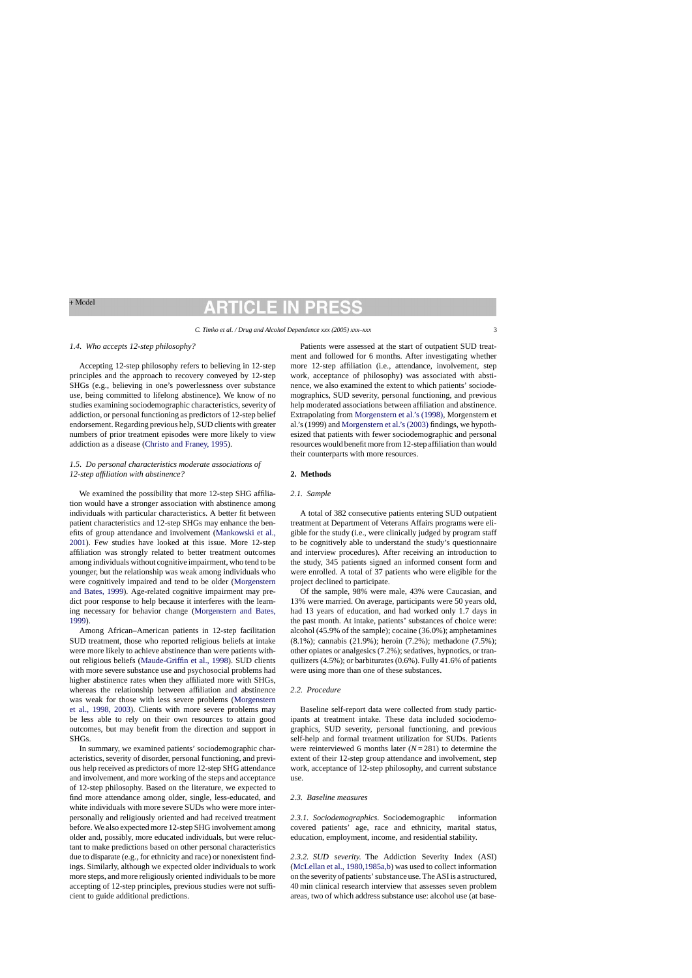# RTICLE IN

#### *1.4. Who accepts 12-step philosophy?*

Accepting 12-step philosophy refers to believing in 12-step principles and the approach to recovery conveyed by 12-step SHGs (e.g., believing in one's powerlessness over substance use, being committed to lifelong abstinence). We know of no studies examining sociodemographic characteristics, severity of addiction, or personal functioning as predictors of 12-step belief endorsement. Regarding previous help, SUD clients with greater numbers of prior treatment episodes were more likely to view addiction as a disease [\(Christo and Franey, 1995\).](#page-8-0)

# *1.5. Do personal characteristics moderate associations of 12-step affiliation with abstinence?*

We examined the possibility that more 12-step SHG affiliation would have a stronger association with abstinence among individuals with particular characteristics. A better fit between patient characteristics and 12-step SHGs may enhance the benefits of group attendance and involvement ([Mankowski et al.,](#page-9-0)  [2001\).](#page-9-0) Few studies have looked at this issue. More 12-step affiliation was strongly related to better treatment outcomes among individuals without cognitive impairment, who tend to be younger, but the relationship was weak among individuals who were cognitively impaired and tend to be older ([Morgenstern](#page-9-0)  [and Bates, 1999\).](#page-9-0) Age-related cognitive impairment may predict poor response to help because it interferes with the learning necessary for behavior change ([Morgenstern and Bates,](#page-9-0)  [1999\).](#page-9-0)

Among African–American patients in 12-step facilitation SUD treatment, those who reported religious beliefs at intake were more likely to achieve abstinence than were patients without religious beliefs [\(Maude-Griffin et al., 1998\).](#page-9-0) SUD clients with more severe substance use and psychosocial problems had higher abstinence rates when they affiliated more with SHGs, whereas the relationship between affiliation and abstinence was weak for those with less severe problems ([Morgenstern](#page-9-0)  [et al., 1998, 2003\).](#page-9-0) Clients with more severe problems may be less able to rely on their own resources to attain good outcomes, but may benefit from the direction and support in SHGs.

In summary, we examined patients' sociodemographic characteristics, severity of disorder, personal functioning, and previous help received as predictors of more 12-step SHG attendance and involvement, and more working of the steps and acceptance of 12-step philosophy. Based on the literature, we expected to find more attendance among older, single, less-educated, and white individuals with more severe SUDs who were more interpersonally and religiously oriented and had received treatment before. We also expected more 12-step SHG involvement among older and, possibly, more educated individuals, but were reluctant to make predictions based on other personal characteristics due to disparate (e.g., for ethnicity and race) or nonexistent findings. Similarly, although we expected older individuals to work more steps, and more religiously oriented individuals to be more accepting of 12-step principles, previous studies were not sufficient to guide additional predictions.

Patients were assessed at the start of outpatient SUD treatment and followed for 6 months. After investigating whether more 12-step affiliation (i.e., attendance, involvement, step work, acceptance of philosophy) was associated with abstinence, we also examined the extent to which patients' sociodemographics, SUD severity, personal functioning, and previous help moderated associations between affiliation and abstinence. Extrapolating from [Morgenstern et al.'s \(1998\),](#page-9-0) Morgenstern et al.'s (1999) and [Morgenstern et al.'s \(2003\) fi](#page-9-0)ndings, we hypothesized that patients with fewer sociodemographic and personal resources would benefit more from 12-step affiliation than would their counterparts with more resources.

#### **2. Methods**

### *2.1. Sample*

A total of 382 consecutive patients entering SUD outpatient treatment at Department of Veterans Affairs programs were eligible for the study (i.e., were clinically judged by program staff to be cognitively able to understand the study's questionnaire and interview procedures). After receiving an introduction to the study, 345 patients signed an informed consent form and were enrolled. A total of 37 patients who were eligible for the project declined to participate.

Of the sample, 98% were male, 43% were Caucasian, and 13% were married. On average, participants were 50 years old, had 13 years of education, and had worked only 1.7 days in the past month. At intake, patients' substances of choice were: alcohol (45.9% of the sample); cocaine (36.0%); amphetamines (8.1%); cannabis (21.9%); heroin (7.2%); methadone (7.5%); other opiates or analgesics (7.2%); sedatives, hypnotics, or tranquilizers (4.5%); or barbiturates (0.6%). Fully 41.6% of patients were using more than one of these substances.

#### *2.2. Procedure*

Baseline self-report data were collected from study participants at treatment intake. These data included sociodemographics, SUD severity, personal functioning, and previous self-help and formal treatment utilization for SUDs. Patients were reinterviewed 6 months later  $(N=281)$  to determine the extent of their 12-step group attendance and involvement, step work, acceptance of 12-step philosophy, and current substance use.

## *2.3. Baseline measures*

*2.3.1. Sociodemographics.* Sociodemographic information covered patients' age, race and ethnicity, marital status, education, employment, income, and residential stability.

*2.3.2. SUD severity.* The Addiction Severity Index (ASI) ([McLellan et al., 1980,1985a,b\)](#page-9-0) was used to collect information on the severity of patients' substance use. The ASI is a structured, 40 min clinical research interview that assesses seven problem areas, two of which address substance use: alcohol use (at base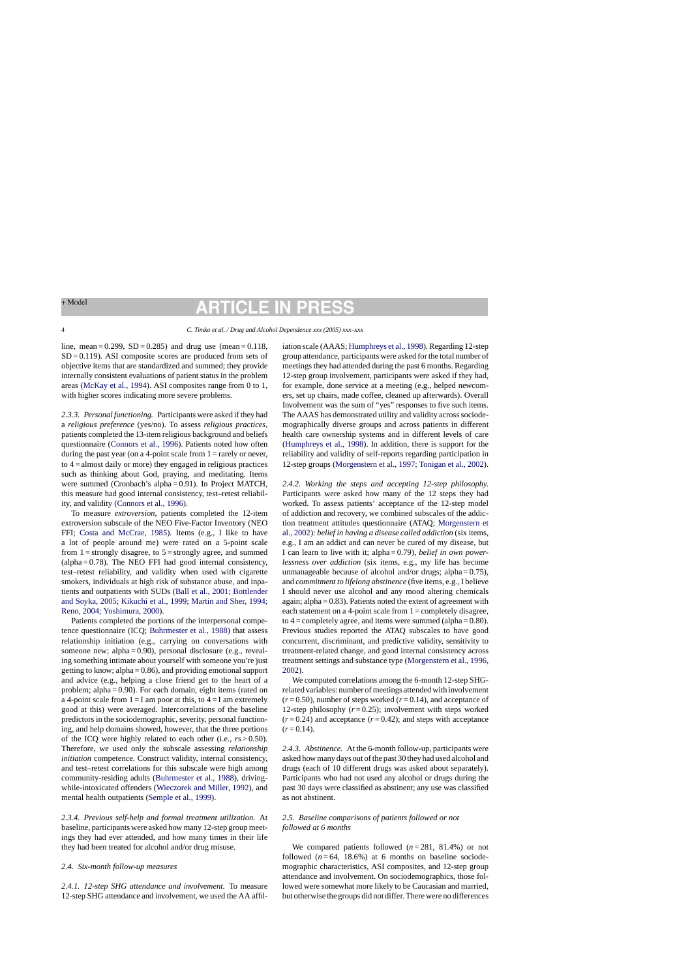# **RTICLE IN** P

#### 4 *C. Timko et al. / Drug and Alcohol Dependence xxx (2005) xxx–xxx*

line, mean =  $0.299$ , SD =  $0.285$ ) and drug use (mean =  $0.118$ ,  $SD = 0.119$ ). ASI composite scores are produced from sets of objective items that are standardized and summed; they provide internally consistent evaluations of patient status in the problem areas [\(McKay et al., 1994\).](#page-9-0) ASI composites range from 0 to 1, with higher scores indicating more severe problems.

*2.3.3. Personal functioning.* Participants were asked if they had a *religious preference* (yes/no). To assess *religious practices*, patients completed the 13-item religious background and beliefs questionnaire ([Connors et al., 1996\).](#page-8-0) Patients noted how often during the past year (on a 4-point scale from  $1 =$  rarely or never, to  $4 =$  almost daily or more) they engaged in religious practices such as thinking about God, praying, and meditating. Items were summed (Cronbach's alpha = 0.91). In Project MATCH, this measure had good internal consistency, test–retest reliability, and validity ([Connors et al., 1996\).](#page-8-0)

To measure *extroversion*, patients completed the 12-item extroversion subscale of the NEO Five-Factor Inventory (NEO FFI; [Costa and McCrae, 1985\).](#page-8-0) Items (e.g., I like to have a lot of people around me) were rated on a 5-point scale from  $1 =$  strongly disagree, to  $5 =$  strongly agree, and summed  $\alpha$  (alpha = 0.78). The NEO FFI had good internal consistency, test–retest reliability, and validity when used with cigarette smokers, individuals at high risk of substance abuse, and inpatients and outpatients with SUDs ([Ball et al., 2001; Bottlender](#page-8-0)  [and Soyka, 2005; Kikuchi et al., 1999; Martin and Sher, 1994;](#page-8-0)  [Reno, 2004; Yoshimura, 2000\).](#page-8-0)

Patients completed the portions of the interpersonal competence questionnaire (ICQ; [Buhrmester et al., 1988\)](#page-8-0) that assess relationship initiation (e.g., carrying on conversations with someone new; alpha = 0.90), personal disclosure (e.g., revealing something intimate about yourself with someone you're just getting to know; alpha  $= 0.86$ ), and providing emotional support and advice (e.g., helping a close friend get to the heart of a problem; alpha = 0.90). For each domain, eight items (rated on a 4-point scale from  $1 = I$  am poor at this, to  $4 = I$  am extremely good at this) were averaged. Intercorrelations of the baseline predictors in the sociodemographic, severity, personal functioning, and help domains showed, however, that the three portions of the ICQ were highly related to each other (i.e., *r*s > 0.50). Therefore, we used only the subscale assessing *relationship initiation* competence. Construct validity, internal consistency, and test–retest correlations for this subscale were high among community-residing adults [\(Buhrmester et al., 1988\),](#page-8-0) drivingwhile-intoxicated offenders ([Wieczorek and Miller, 1992\),](#page-10-0) and mental health outpatients ([Semple et al., 1999\).](#page-9-0)

*2.3.4. Previous self-help and formal treatment utilization.* At baseline, participants were asked how many 12-step group meetings they had ever attended, and how many times in their life they had been treated for alcohol and/or drug misuse.

### *2.4. Six-month follow-up measures*

*2.4.1. 12-step SHG attendance and involvement.* To measure 12-step SHG attendance and involvement, we used the AA affiliation scale (AAAS; [Humphreys et al., 1998\).](#page-9-0) Regarding 12-step group attendance, participants were asked for the total number of meetings they had attended during the past 6 months. Regarding 12-step group involvement, participants were asked if they had, for example, done service at a meeting (e.g., helped newcomers, set up chairs, made coffee, cleaned up afterwards). Overall Involvement was the sum of "yes" responses to five such items. The AAAS has demonstrated utility and validity across sociodemographically diverse groups and across patients in different health care ownership systems and in different levels of care [\(Humphreys et al., 1998\).](#page-9-0) In addition, there is support for the reliability and validity of self-reports regarding participation in 12-step groups [\(Morgenstern et al., 1997; Tonigan et al., 2002\).](#page-9-0)

*2.4.2. Working the steps and accepting 12-step philosophy.* Participants were asked how many of the 12 steps they had worked. To assess patients' acceptance of the 12-step model of addiction and recovery, we combined subscales of the addiction treatment attitudes questionnaire (ATAQ; [Morgenstern et](#page-9-0)  [al., 2002\):](#page-9-0) *belief in having a disease called addiction* (six items, e.g., I am an addict and can never be cured of my disease, but I can learn to live with it; alpha = 0.79), *belief in own powerlessness over addiction* (six items, e.g., my life has become unmanageable because of alcohol and/or drugs; alpha =  $0.75$ ), and *commitment to lifelong abstinence* (five items, e.g., I believe I should never use alcohol and any mood altering chemicals again; alpha  $= 0.83$ ). Patients noted the extent of agreement with each statement on a 4-point scale from  $1 =$ completely disagree, to  $4 =$  completely agree, and items were summed (alpha = 0.80). Previous studies reported the ATAQ subscales to have good concurrent, discriminant, and predictive validity, sensitivity to treatment-related change, and good internal consistency across treatment settings and substance type [\(Morgenstern et al., 1996,](#page-9-0)  [2002\).](#page-9-0)

We computed correlations among the 6-month 12-step SHGrelated variables: number of meetings attended with involvement  $(r=0.50)$ , number of steps worked  $(r=0.14)$ , and acceptance of 12-step philosophy  $(r=0.25)$ ; involvement with steps worked  $(r=0.24)$  and acceptance  $(r=0.42)$ ; and steps with acceptance  $(r=0.14)$ .

*2.4.3. Abstinence.* At the 6-month follow-up, participants were asked how many days out of the past 30 they had used alcohol and drugs (each of 10 different drugs was asked about separately). Participants who had not used any alcohol or drugs during the past 30 days were classified as abstinent; any use was classified as not abstinent.

## *2.5. Baseline comparisons of patients followed or not followed at 6 months*

We compared patients followed  $(n=281, 81.4%)$  or not followed  $(n=64, 18.6%)$  at 6 months on baseline sociodemographic characteristics, ASI composites, and 12-step group attendance and involvement. On sociodemographics, those followed were somewhat more likely to be Caucasian and married, but otherwise the groups did not differ. There were no differences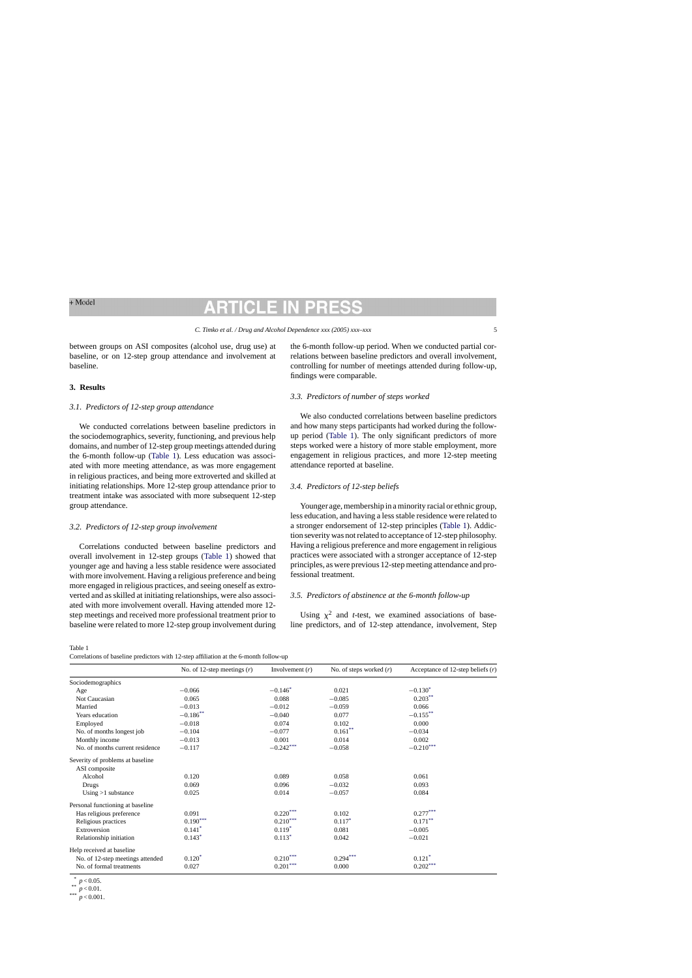between groups on ASI composites (alcohol use, drug use) at baseline, or on 12-step group attendance and involvement at baseline.

# **3. Results**

#### *3.1. Predictors of 12-step group attendance*

We conducted correlations between baseline predictors in the sociodemographics, severity, functioning, and previous help domains, and number of 12-step group meetings attended during the 6-month follow-up (Table 1). Less education was associated with more meeting attendance, as was more engagement in religious practices, and being more extroverted and skilled at initiating relationships. More 12-step group attendance prior to treatment intake was associated with more subsequent 12-step group attendance.

#### *3.2. Predictors of 12-step group involvement*

Correlations conducted between baseline predictors and overall involvement in 12-step groups (Table 1) showed that younger age and having a less stable residence were associated with more involvement. Having a religious preference and being more engaged in religious practices, and seeing oneself as extroverted and as skilled at initiating relationships, were also associated with more involvement overall. Having attended more 12 step meetings and received more professional treatment prior to baseline were related to more 12-step group involvement during the 6-month follow-up period. When we conducted partial correlations between baseline predictors and overall involvement, controlling for number of meetings attended during follow-up, findings were comparable.

#### *3.3. Predictors of number of steps worked*

We also conducted correlations between baseline predictors and how many steps participants had worked during the followup period (Table 1). The only significant predictors of more steps worked were a history of more stable employment, more engagement in religious practices, and more 12-step meeting attendance reported at baseline.

### *3.4. Predictors of 12-step beliefs*

Younger age, membership in a minority racial or ethnic group, less education, and having a less stable residence were related to a stronger endorsement of 12-step principles (Table 1). Addiction severity was not related to acceptance of 12-step philosophy. Having a religious preference and more engagement in religious practices were associated with a stronger acceptance of 12-step principles, as were previous 12-step meeting attendance and professional treatment.

#### *3.5. Predictors of abstinence at the 6-month follow-up*

Using  $x^2$  and *t*-test, we examined associations of baseline predictors, and of 12-step attendance, involvement, Step

Table 1

Correlations of baseline predictors with 12-step affiliation at the 6-month follow-up

|                                  | No. of 12-step meetings $(r)$ | Involvement $(r)$ | No. of steps worked $(r)$ | Acceptance of 12-step beliefs $(r)$ |
|----------------------------------|-------------------------------|-------------------|---------------------------|-------------------------------------|
| Sociodemographics                |                               |                   |                           |                                     |
| Age                              | $-0.066$                      | $-0.146*$         | 0.021                     | $-0.130*$                           |
| Not Caucasian                    | 0.065                         | 0.088             | $-0.085$                  | $0.203***$                          |
| Married                          | $-0.013$                      | $-0.012$          | $-0.059$                  | 0.066                               |
| Years education                  | $-0.186$ **                   | $-0.040$          | 0.077                     | $-0.155***$                         |
| Employed                         | $-0.018$                      | 0.074             | 0.102                     | 0.000                               |
| No. of months longest job        | $-0.104$                      | $-0.077$          | $0.161***$                | $-0.034$                            |
| Monthly income                   | $-0.013$                      | 0.001             | 0.014                     | 0.002                               |
| No. of months current residence  | $-0.117$                      | $-0.242***$       | $-0.058$                  | $-0.210***$                         |
| Severity of problems at baseline |                               |                   |                           |                                     |
| ASI composite                    |                               |                   |                           |                                     |
| Alcohol                          | 0.120                         | 0.089             | 0.058                     | 0.061                               |
| Drugs                            | 0.069                         | 0.096             | $-0.032$                  | 0.093                               |
| Using $>1$ substance             | 0.025                         | 0.014             | $-0.057$                  | 0.084                               |
| Personal functioning at baseline |                               |                   |                           |                                     |
| Has religious preference         | 0.091                         | $0.220***$        | 0.102                     | $0.277***$                          |
| Religious practices              | $0.190***$                    | $0.210***$        | $0.117*$                  | $0.171***$                          |
| Extroversion                     | $0.141*$                      | $0.119*$          | 0.081                     | $-0.005$                            |
| Relationship initiation          | $0.143*$                      | $0.113*$          | 0.042                     | $-0.021$                            |
| Help received at baseline        |                               |                   |                           |                                     |
| No. of 12-step meetings attended | $0.120*$                      | $0.210***$        | $0.294***$                | $0.121*$                            |
| No. of formal treatments         | 0.027                         | $0.201***$        | 0.000                     | $0.202***$                          |

 $p < 0.05.$ <br> $p < 0.01.$ <br> $p < 0.001.$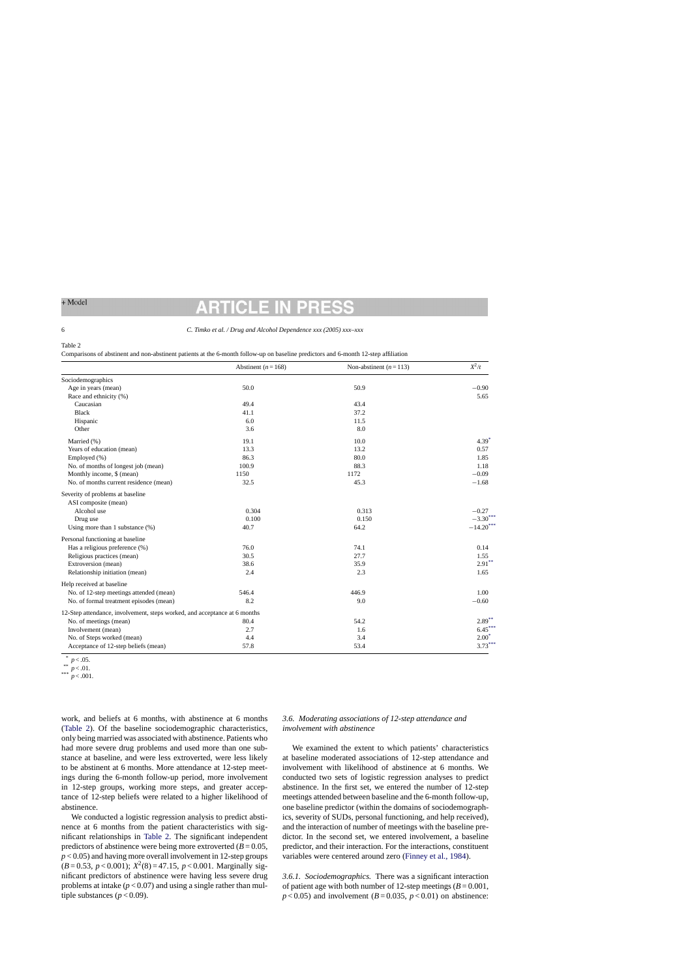#### 6 *C. Timko et al. / Drug and Alcohol Dependence xxx (2005) xxx–xxx*

#### Table 2

Comparisons of abstinent and non-abstinent patients at the 6-month follow-up on baseline predictors and 6-month 12-step affiliation

|                                                                           | Abstinent ( $n = 168$ ) | Non-abstinent $(n=113)$ | $X^2/t$     |
|---------------------------------------------------------------------------|-------------------------|-------------------------|-------------|
| Sociodemographics                                                         |                         |                         |             |
| Age in years (mean)                                                       | 50.0                    | 50.9                    | $-0.90$     |
| Race and ethnicity (%)                                                    |                         |                         | 5.65        |
| Caucasian                                                                 | 49.4                    | 43.4                    |             |
| <b>Black</b>                                                              | 41.1                    | 37.2                    |             |
| Hispanic                                                                  | 6.0                     | 11.5                    |             |
| Other                                                                     | 3.6                     | 8.0                     |             |
| Married (%)                                                               | 19.1                    | 10.0                    | $4.39*$     |
| Years of education (mean)                                                 | 13.3                    | 13.2                    | 0.57        |
| Employed (%)                                                              | 86.3                    | 80.0                    | 1.85        |
| No. of months of longest job (mean)                                       | 100.9                   | 88.3                    | 1.18        |
| Monthly income, \$ (mean)                                                 | 1150                    | 1172                    | $-0.09$     |
| No. of months current residence (mean)                                    | 32.5                    | 45.3                    | $-1.68$     |
| Severity of problems at baseline                                          |                         |                         |             |
| ASI composite (mean)                                                      |                         |                         |             |
| Alcohol use                                                               | 0.304                   | 0.313                   | $-0.27$     |
| Drug use                                                                  | 0.100                   | 0.150                   | $-3.30***$  |
| Using more than 1 substance $(\%)$                                        | 40.7                    | 64.2                    | $-14.20***$ |
| Personal functioning at baseline                                          |                         |                         |             |
| Has a religious preference (%)                                            | 76.0                    | 74.1                    | 0.14        |
| Religious practices (mean)                                                | 30.5                    | 27.7                    | 1.55        |
| Extroversion (mean)                                                       | 38.6                    | 35.9                    | $2.91***$   |
| Relationship initiation (mean)                                            | 2.4                     | 2.3                     | 1.65        |
| Help received at baseline                                                 |                         |                         |             |
| No. of 12-step meetings attended (mean)                                   | 546.4                   | 446.9                   | 1.00        |
| No. of formal treatment episodes (mean)                                   | 8.2                     | 9.0                     | $-0.60$     |
| 12-Step attendance, involvement, steps worked, and acceptance at 6 months |                         |                         |             |
| No. of meetings (mean)                                                    | 80.4                    | 54.2                    | $2.89***$   |
| Involvement (mean)                                                        | 2.7                     | 1.6                     | $6.45***$   |
| No. of Steps worked (mean)                                                | 4.4                     | 3.4                     | $2.00*$     |
| Acceptance of 12-step beliefs (mean)                                      | 57.8                    | 53.4                    | $3.73***$   |

work, and beliefs at 6 months, with abstinence at 6 months (Table 2). Of the baseline sociodemographic characteristics, only being married was associated with abstinence. Patients who had more severe drug problems and used more than one substance at baseline, and were less extroverted, were less likely to be abstinent at 6 months. More attendance at 12-step meetings during the 6-month follow-up period, more involvement in 12-step groups, working more steps, and greater acceptance of 12-step beliefs were related to a higher likelihood of abstinence.

We conducted a logistic regression analysis to predict abstinence at 6 months from the patient characteristics with significant relationships in Table 2. The significant independent predictors of abstinence were being more extroverted  $(B = 0.05,$  $p$  < 0.05) and having more overall involvement in 12-step groups  $(B=0.53, p<0.001)$ ;  $X^2(8)=47.15, p<0.001$ . Marginally significant predictors of abstinence were having less severe drug problems at intake  $(p < 0.07)$  and using a single rather than multiple substances ( $p < 0.09$ ).

# *3.6. Moderating associations of 12-step attendance and involvement with abstinence*

We examined the extent to which patients' characteristics at baseline moderated associations of 12-step attendance and involvement with likelihood of abstinence at 6 months. We conducted two sets of logistic regression analyses to predict abstinence. In the first set, we entered the number of 12-step meetings attended between baseline and the 6-month follow-up, one baseline predictor (within the domains of sociodemographics, severity of SUDs, personal functioning, and help received), and the interaction of number of meetings with the baseline predictor. In the second set, we entered involvement, a baseline predictor, and their interaction. For the interactions, constituent variables were centered around zero [\(Finney et al., 1984\).](#page-8-0)

*3.6.1. Sociodemographics.* There was a significant interaction of patient age with both number of 12-step meetings  $(B=0.001,$  $p$  < 0.05) and involvement ( $B = 0.035$ ,  $p$  < 0.01) on abstinence:

 $p < .05.$ <br> $p < .01.$ <br> $p < .001.$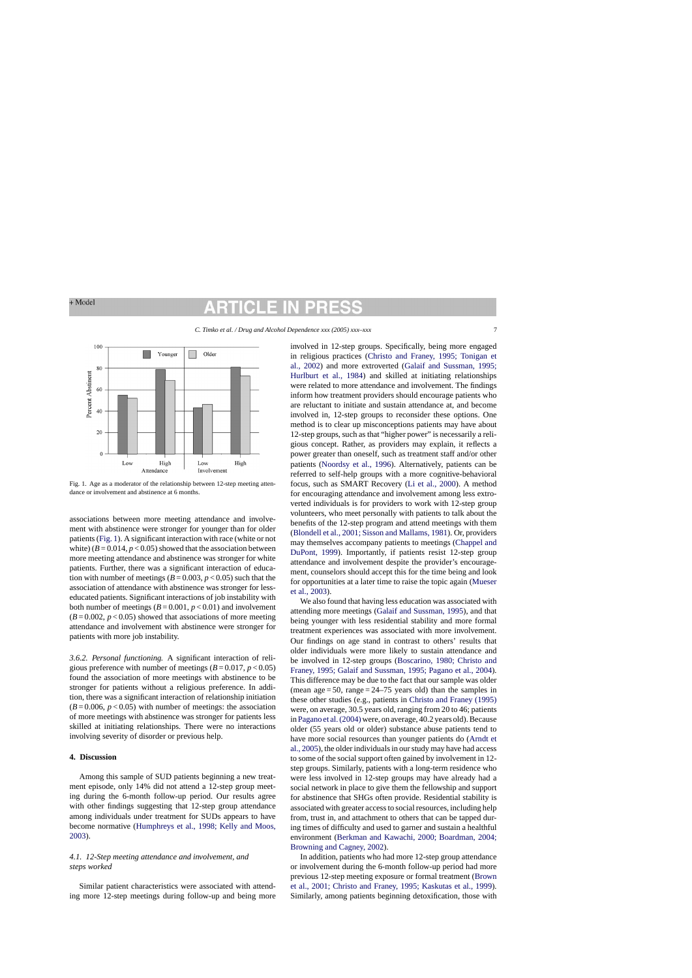# CIL

*C. Timko et al. / Drug and Alcohol Dependence xxx (2005) xxx–xxx* 7



Fig. 1. Age as a moderator of the relationship between 12-step meeting attendance or involvement and abstinence at 6 months.

associations between more meeting attendance and involvement with abstinence were stronger for younger than for older patients (Fig. 1). A significant interaction with race (white or not white)  $(B = 0.014, p < 0.05)$  showed that the association between more meeting attendance and abstinence was stronger for white patients. Further, there was a significant interaction of education with number of meetings ( $B = 0.003$ ,  $p < 0.05$ ) such that the association of attendance with abstinence was stronger for lesseducated patients. Significant interactions of job instability with both number of meetings  $(B=0.001, p<0.01)$  and involvement  $(B=0.002, p<0.05)$  showed that associations of more meeting attendance and involvement with abstinence were stronger for patients with more job instability.

*3.6.2. Personal functioning.* A significant interaction of religious preference with number of meetings  $(B = 0.017, p < 0.05)$ found the association of more meetings with abstinence to be stronger for patients without a religious preference. In addition, there was a significant interaction of relationship initiation  $(B=0.006, p<0.05)$  with number of meetings: the association of more meetings with abstinence was stronger for patients less skilled at initiating relationships. There were no interactions involving severity of disorder or previous help.

#### **4. Discussion**

Among this sample of SUD patients beginning a new treatment episode, only 14% did not attend a 12-step group meeting during the 6-month follow-up period. Our results agree with other findings suggesting that 12-step group attendance among individuals under treatment for SUDs appears to have become normative ([Humphreys et al., 1998; Kelly and Moos,](#page-9-0)  [2003\).](#page-9-0)

# *4.1. 12-Step meeting attendance and involvement, and steps worked*

Similar patient characteristics were associated with attending more 12-step meetings during follow-up and being more involved in 12-step groups. Specifically, being more engaged in religious practices ([Christo and Franey, 1995; Tonigan et](#page-8-0)  [al., 2002\)](#page-8-0) and more extroverted ([Galaif and Sussman, 1995;](#page-8-0)  [Hurlburt et al., 1984\)](#page-8-0) and skilled at initiating relationships were related to more attendance and involvement. The findings inform how treatment providers should encourage patients who are reluctant to initiate and sustain attendance at, and become involved in, 12-step groups to reconsider these options. One method is to clear up misconceptions patients may have about 12-step groups, such as that "higher power" is necessarily a religious concept. Rather, as providers may explain, it reflects a power greater than oneself, such as treatment staff and/or other patients ([Noordsy et al., 1996\).](#page-9-0) Alternatively, patients can be referred to self-help groups with a more cognitive-behavioral focus, such as SMART Recovery [\(Li et al., 2000\).](#page-9-0) A method for encouraging attendance and involvement among less extroverted individuals is for providers to work with 12-step group volunteers, who meet personally with patients to talk about the benefits of the 12-step program and attend meetings with them ([Blondell et al., 2001; Sisson and Mallams, 1981\).](#page-8-0) Or, providers may themselves accompany patients to meetings [\(Chappel and](#page-8-0)  [DuPont, 1999\).](#page-8-0) Importantly, if patients resist 12-step group attendance and involvement despite the provider's encouragement, counselors should accept this for the time being and look for opportunities at a later time to raise the topic again ([Mueser](#page-9-0)  [et al., 2003\).](#page-9-0)

We also found that having less education was associated with attending more meetings ([Galaif and Sussman, 1995\),](#page-8-0) and that being younger with less residential stability and more formal treatment experiences was associated with more involvement. Our findings on age stand in contrast to others' results that older individuals were more likely to sustain attendance and be involved in 12-step groups ([Boscarino, 1980; Christo and](#page-8-0)  [Franey, 1995; Galaif and Sussman, 1995; Pagano et al., 2004\).](#page-8-0) This difference may be due to the fact that our sample was older (mean  $age = 50$ , range  $= 24-75$  years old) than the samples in these other studies (e.g., patients in [Christo and Franey \(1995\)](#page-8-0)  were, on average, 30.5 years old, ranging from 20 to 46; patients in [Pagano et al. \(2004\) w](#page-9-0)ere, on average, 40.2 years old). Because older (55 years old or older) substance abuse patients tend to have more social resources than younger patients do [\(Arndt et](#page-8-0)  [al., 2005\),](#page-8-0) the older individuals in our study may have had access to some of the social support often gained by involvement in 12 step groups. Similarly, patients with a long-term residence who were less involved in 12-step groups may have already had a social network in place to give them the fellowship and support for abstinence that SHGs often provide. Residential stability is associated with greater access to social resources, including help from, trust in, and attachment to others that can be tapped during times of difficulty and used to garner and sustain a healthful environment [\(Berkman and Kawachi, 2000; Boardman, 2004;](#page-8-0)  [Browning and Cagney, 2002\).](#page-8-0)

In addition, patients who had more 12-step group attendance or involvement during the 6-month follow-up period had more previous 12-step meeting exposure or formal treatment ([Brown](#page-8-0)  [et al., 2001; Christo and Franey, 1995; Kaskutas et al., 1999\).](#page-8-0) Similarly, among patients beginning detoxification, those with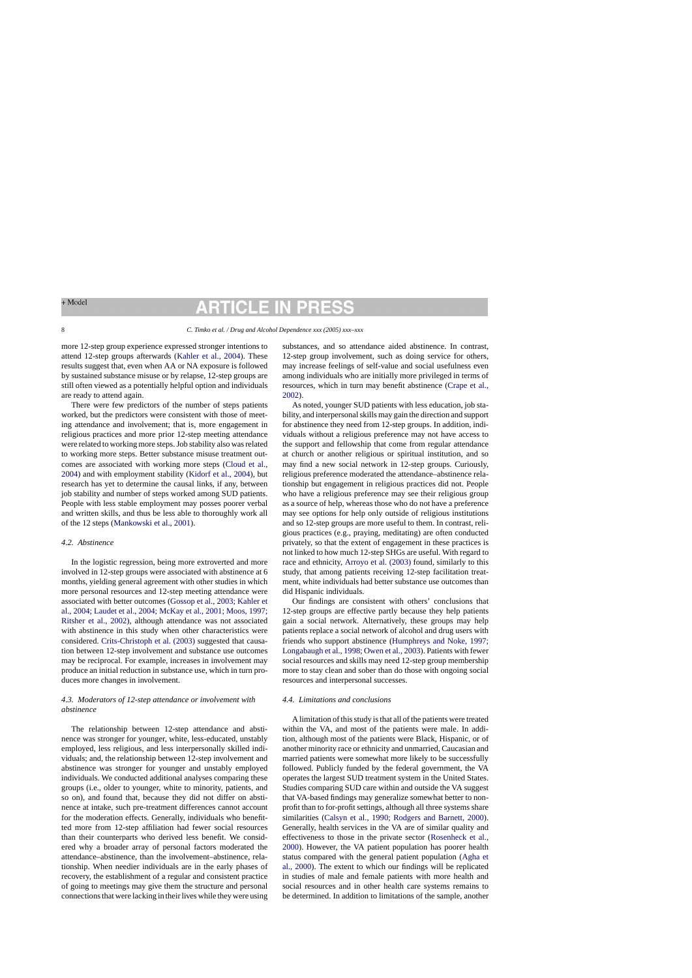# **RTICLE IN**

#### 8 *C. Timko et al. / Drug and Alcohol Dependence xxx (2005) xxx–xxx*

more 12-step group experience expressed stronger intentions to attend 12-step groups afterwards [\(Kahler et al., 2004\).](#page-9-0) These results suggest that, even when AA or NA exposure is followed by sustained substance misuse or by relapse, 12-step groups are still often viewed as a potentially helpful option and individuals are ready to attend again.

There were few predictors of the number of steps patients worked, but the predictors were consistent with those of meeting attendance and involvement; that is, more engagement in religious practices and more prior 12-step meeting attendance were related to working more steps. Job stability also was related to working more steps. Better substance misuse treatment outcomes are associated with working more steps ([Cloud et al.,](#page-8-0)  [2004\)](#page-8-0) and with employment stability ([Kidorf et al., 2004\),](#page-9-0) but research has yet to determine the causal links, if any, between job stability and number of steps worked among SUD patients. People with less stable employment may posses poorer verbal and written skills, and thus be less able to thoroughly work all of the 12 steps [\(Mankowski et al., 2001\).](#page-9-0)

#### *4.2. Abstinence*

In the logistic regression, being more extroverted and more involved in 12-step groups were associated with abstinence at 6 months, yielding general agreement with other studies in which more personal resources and 12-step meeting attendance were associated with better outcomes [\(Gossop et al., 2003; Kahler et](#page-8-0)  [al., 2004; Laudet et al., 2004; McKay et al., 2001; Moos, 1997;](#page-8-0)  [Ritsher et al., 2002\),](#page-8-0) although attendance was not associated with abstinence in this study when other characteristics were considered. [Crits-Christoph et al. \(2003\) s](#page-8-0)uggested that causation between 12-step involvement and substance use outcomes may be reciprocal. For example, increases in involvement may produce an initial reduction in substance use, which in turn produces more changes in involvement.

# *4.3. Moderators of 12-step attendance or involvement with abstinence*

The relationship between 12-step attendance and abstinence was stronger for younger, white, less-educated, unstably employed, less religious, and less interpersonally skilled individuals; and, the relationship between 12-step involvement and abstinence was stronger for younger and unstably employed individuals. We conducted additional analyses comparing these groups (i.e., older to younger, white to minority, patients, and so on), and found that, because they did not differ on abstinence at intake, such pre-treatment differences cannot account for the moderation effects. Generally, individuals who benefitted more from 12-step affiliation had fewer social resources than their counterparts who derived less benefit. We considered why a broader array of personal factors moderated the attendance–abstinence, than the involvement–abstinence, relationship. When needier individuals are in the early phases of recovery, the establishment of a regular and consistent practice of going to meetings may give them the structure and personal connections that were lacking in their lives while they were using

substances, and so attendance aided abstinence. In contrast, 12-step group involvement, such as doing service for others, may increase feelings of self-value and social usefulness even among individuals who are initially more privileged in terms of resources, which in turn may benefit abstinence [\(Crape et al.,](#page-8-0)  [2002\).](#page-8-0)

As noted, younger SUD patients with less education, job stability, and interpersonal skills may gain the direction and support for abstinence they need from 12-step groups. In addition, individuals without a religious preference may not have access to the support and fellowship that come from regular attendance at church or another religious or spiritual institution, and so may find a new social network in 12-step groups. Curiously, religious preference moderated the attendance–abstinence relationship but engagement in religious practices did not. People who have a religious preference may see their religious group as a source of help, whereas those who do not have a preference may see options for help only outside of religious institutions and so 12-step groups are more useful to them. In contrast, religious practices (e.g., praying, meditating) are often conducted privately, so that the extent of engagement in these practices is not linked to how much 12-step SHGs are useful. With regard to race and ethnicity, [Arroyo et al. \(2003\) f](#page-8-0)ound, similarly to this study, that among patients receiving 12-step facilitation treatment, white individuals had better substance use outcomes than did Hispanic individuals.

Our findings are consistent with others' conclusions that 12-step groups are effective partly because they help patients gain a social network. Alternatively, these groups may help patients replace a social network of alcohol and drug users with friends who support abstinence [\(Humphreys and Noke, 1997;](#page-9-0)  [Longabaugh et al., 1998; Owen et al., 2003\).](#page-9-0) Patients with fewer social resources and skills may need 12-step group membership more to stay clean and sober than do those with ongoing social resources and interpersonal successes.

### *4.4. Limitations and conclusions*

A limitation of this study is that all of the patients were treated within the VA, and most of the patients were male. In addition, although most of the patients were Black, Hispanic, or of another minority race or ethnicity and unmarried, Caucasian and married patients were somewhat more likely to be successfully followed. Publicly funded by the federal government, the VA operates the largest SUD treatment system in the United States. Studies comparing SUD care within and outside the VA suggest that VA-based findings may generalize somewhat better to nonprofit than to for-profit settings, although all three systems share similarities ([Calsyn et al., 1990; Rodgers and Barnett, 2000\).](#page-8-0) Generally, health services in the VA are of similar quality and effectiveness to those in the private sector [\(Rosenheck et al.,](#page-9-0)  [2000\).](#page-9-0) However, the VA patient population has poorer health status compared with the general patient population ([Agha et](#page-8-0)  [al., 2000\).](#page-8-0) The extent to which our findings will be replicated in studies of male and female patients with more health and social resources and in other health care systems remains to be determined. In addition to limitations of the sample, another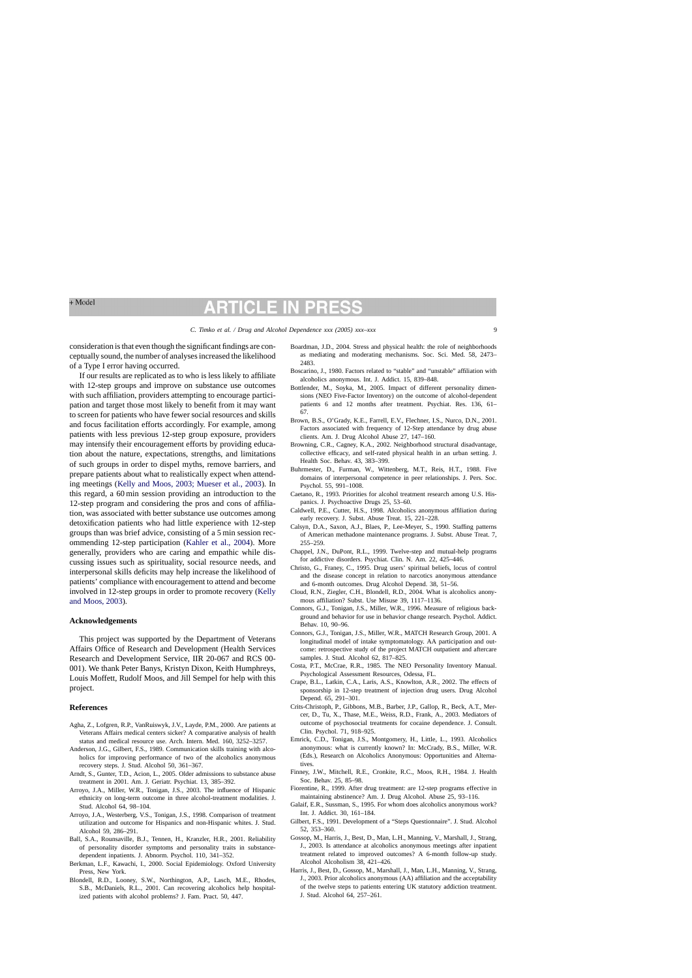# **RTICLE IN PR**

<span id="page-8-0"></span>consideration is that even though the significant findings are conceptually sound, the number of analyses increased the likelihood of a Type I error having occurred.

If our results are replicated as to who is less likely to affiliate with 12-step groups and improve on substance use outcomes with such affiliation, providers attempting to encourage participation and target those most likely to benefit from it may want to screen for patients who have fewer social resources and skills and focus facilitation efforts accordingly. For example, among patients with less previous 12-step group exposure, providers may intensify their encouragement efforts by providing education about the nature, expectations, strengths, and limitations of such groups in order to dispel myths, remove barriers, and prepare patients about what to realistically expect when attending meetings ([Kelly and Moos, 2003; Mueser et al., 2003\).](#page-9-0) In this regard, a 60 min session providing an introduction to the 12-step program and considering the pros and cons of affiliation, was associated with better substance use outcomes among detoxification patients who had little experience with 12-step groups than was brief advice, consisting of a 5 min session recommending 12-step participation ([Kahler et al., 2004\).](#page-9-0) More generally, providers who are caring and empathic while discussing issues such as spirituality, social resource needs, and interpersonal skills deficits may help increase the likelihood of patients' compliance with encouragement to attend and become involved in 12-step groups in order to promote recovery ([Kelly](#page-9-0)  [and Moos, 2003\).](#page-9-0)

### **Acknowledgements**

This project was supported by the Department of Veterans Affairs Office of Research and Development (Health Services Research and Development Service, IIR 20-067 and RCS 00 001). We thank Peter Banys, Kristyn Dixon, Keith Humphreys, Louis Moffett, Rudolf Moos, and Jill Sempel for help with this project.

### **References**

- Agha, Z., Lofgren, R.P., VanRuiswyk, J.V., Layde, P.M., 2000. Are patients at Veterans Affairs medical centers sicker? A comparative analysis of health status and medical resource use. Arch. Intern. Med. 160, 3252–3257.
- Anderson, J.G., Gilbert, F.S., 1989. Communication skills training with alcoholics for improving performance of two of the alcoholics anonymous recovery steps. J. Stud. Alcohol 50, 361–367.
- Arndt, S., Gunter, T.D., Acion, L., 2005. Older admissions to substance abuse treatment in 2001. Am. J. Geriatr. Psychiat. 13, 385–392.
- Arroyo, J.A., Miller, W.R., Tonigan, J.S., 2003. The influence of Hispanic ethnicity on long-term outcome in three alcohol-treatment modalities. J. Stud. Alcohol 64, 98–104.
- Arroyo, J.A., Westerberg, V.S., Tonigan, J.S., 1998. Comparison of treatment utilization and outcome for Hispanics and non-Hispanic whites. J. Stud. Alcohol 59, 286–291.
- Ball, S.A., Rounsaville, B.J., Tennen, H., Kranzler, H.R., 2001. Reliability of personality disorder symptoms and personality traits in substancedependent inpatients. J. Abnorm. Psychol. 110, 341–352.
- Berkman, L.F., Kawachi, I., 2000. Social Epidemiology. Oxford University Press, New York.
- Blondell, R.D., Looney, S.W., Northington, A.P., Lasch, M.E., Rhodes, S.B., McDaniels, R.L., 2001. Can recovering alcoholics help hospitalized patients with alcohol problems? J. Fam. Pract. 50, 447.
- Boardman, J.D., 2004. Stress and physical health: the role of neighborhoods as mediating and moderating mechanisms. Soc. Sci. Med. 58, 2473– 2483.
- Boscarino, J., 1980. Factors related to "stable" and "unstable" affiliation with alcoholics anonymous. Int. J. Addict. 15, 839–848.
- Bottlender, M., Soyka, M., 2005. Impact of different personality dimensions (NEO Five-Factor Inventory) on the outcome of alcohol-dependent patients 6 and 12 months after treatment. Psychiat. Res. 136, 61– 67.
- Brown, B.S., O'Grady, K.E., Farrell, E.V., Flechner, I.S., Nurco, D.N., 2001. Factors associated with frequency of 12-Step attendance by drug abuse clients. Am. J. Drug Alcohol Abuse 27, 147–160.
- Browning, C.R., Cagney, K.A., 2002. Neighborhood structural disadvantage, collective efficacy, and self-rated physical health in an urban setting. J. Health Soc. Behav. 43, 383–399.
- Buhrmester, D., Furman, W., Wittenberg, M.T., Reis, H.T., 1988. Five domains of interpersonal competence in peer relationships. J. Pers. Soc. Psychol. 55, 991–1008.
- Caetano, R., 1993. Priorities for alcohol treatment research among U.S. Hispanics. J. Psychoactive Drugs 25, 53–60.
- Caldwell, P.E., Cutter, H.S., 1998. Alcoholics anonymous affiliation during early recovery. J. Subst. Abuse Treat. 15, 221–228.
- Calsyn, D.A., Saxon, A.J., Blaes, P., Lee-Meyer, S., 1990. Staffing patterns of American methadone maintenance programs. J. Subst. Abuse Treat. 7, 255–259.
- Chappel, J.N., DuPont, R.L., 1999. Twelve-step and mutual-help programs for addictive disorders. Psychiat. Clin. N. Am. 22, 425–446.
- Christo, G., Franey, C., 1995. Drug users' spiritual beliefs, locus of control and the disease concept in relation to narcotics anonymous attendance and 6-month outcomes. Drug Alcohol Depend. 38, 51–56.
- Cloud, R.N., Ziegler, C.H., Blondell, R.D., 2004. What is alcoholics anonymous affiliation? Subst. Use Misuse 39, 1117–1136.
- Connors, G.J., Tonigan, J.S., Miller, W.R., 1996. Measure of religious background and behavior for use in behavior change research. Psychol. Addict. Behav. 10, 90–96.
- Connors, G.J., Tonigan, J.S., Miller, W.R., MATCH Research Group, 2001. A longitudinal model of intake symptomatology. AA participation and outcome: retrospective study of the project MATCH outpatient and aftercare samples. J. Stud. Alcohol 62, 817–825.
- Costa, P.T., McCrae, R.R., 1985. The NEO Personality Inventory Manual. Psychological Assessment Resources, Odessa, FL.
- Crape, B.L., Latkin, C.A., Laris, A.S., Knowlton, A.R., 2002. The effects of sponsorship in 12-step treatment of injection drug users. Drug Alcohol Depend. 65, 291–301.
- Crits-Christoph, P., Gibbons, M.B., Barber, J.P., Gallop, R., Beck, A.T., Mercer, D., Tu, X., Thase, M.E., Weiss, R.D., Frank, A., 2003. Mediators of outcome of psychosocial treatments for cocaine dependence. J. Consult. Clin. Psychol. 71, 918–925.
- Emrick, C.D., Tonigan, J.S., Montgomery, H., Little, L., 1993. Alcoholics anonymous: what is currently known? In: McCrady, B.S., Miller, W.R. (Eds.), Research on Alcoholics Anonymous: Opportunities and Alternatives.
- Finney, J.W., Mitchell, R.E., Cronkite, R.C., Moos, R.H., 1984. J. Health Soc. Behav. 25, 85–98.
- Fiorentine, R., 1999. After drug treatment: are 12-step programs effective in maintaining abstinence? Am. J. Drug Alcohol. Abuse 25, 93–116.
- Galaif, E.R., Sussman, S., 1995. For whom does alcoholics anonymous work? Int. J. Addict. 30, 161–184.
- Gilbert, F.S., 1991. Development of a "Steps Questionnaire". J. Stud. Alcohol 52, 353–360.
- Gossop, M., Harris, J., Best, D., Man, L.H., Manning, V., Marshall, J., Strang, J., 2003. Is attendance at alcoholics anonymous meetings after inpatient treatment related to improved outcomes? A 6-month follow-up study. Alcohol Alcoholism 38, 421–426.
- Harris, J., Best, D., Gossop, M., Marshall, J., Man, L.H., Manning, V., Strang, J., 2003. Prior alcoholics anonymous (AA) affiliation and the acceptability of the twelve steps to patients entering UK statutory addiction treatment. J. Stud. Alcohol 64, 257–261.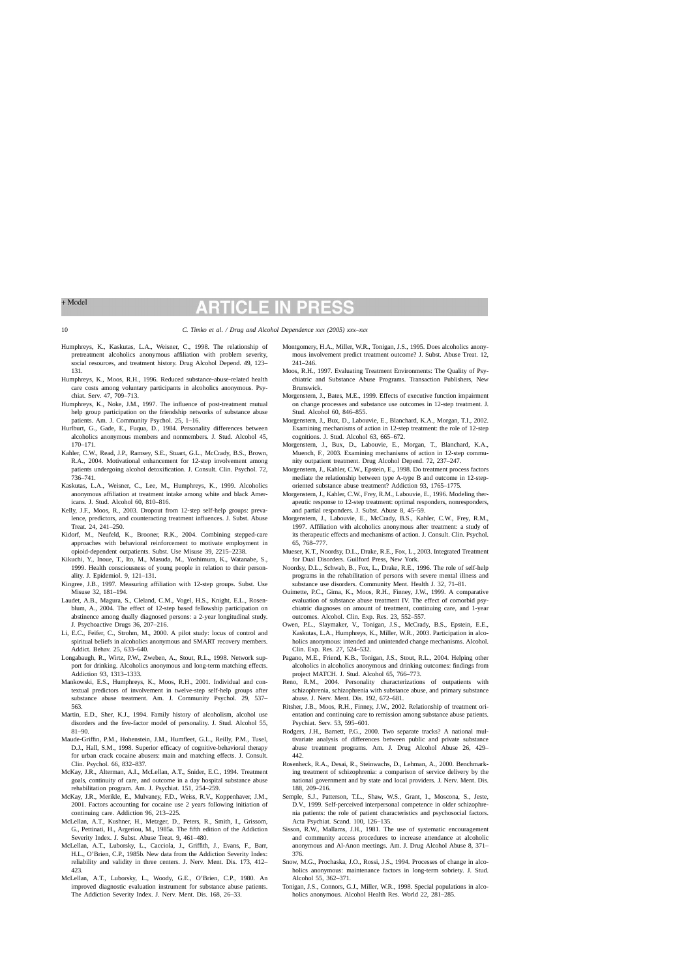# <span id="page-9-0"></span>+ Model

## P **RTICLE IN**

#### 10 *C. Timko et al. / Drug and Alcohol Dependence xxx (2005) xxx–xxx*

- Humphreys, K., Kaskutas, L.A., Weisner, C., 1998. The relationship of pretreatment alcoholics anonymous affiliation with problem severity, social resources, and treatment history. Drug Alcohol Depend. 49, 123– 131.
- Humphreys, K., Moos, R.H., 1996. Reduced substance-abuse-related health care costs among voluntary participants in alcoholics anonymous. Psychiat. Serv. 47, 709–713.
- Humphreys, K., Noke, J.M., 1997. The influence of post-treatment mutual help group participation on the friendship networks of substance abuse patients. Am. J. Community Psychol. 25, 1–16.
- Hurlburt, G., Gade, E., Fuqua, D., 1984. Personality differences between alcoholics anonymous members and nonmembers. J. Stud. Alcohol 45, 170–171.
- Kahler, C.W., Read, J.P., Ramsey, S.E., Stuart, G.L., McCrady, B.S., Brown, R.A., 2004. Motivational enhancement for 12-step involvement among patients undergoing alcohol detoxification. J. Consult. Clin. Psychol. 72, 736–741.
- Kaskutas, L.A., Weisner, C., Lee, M., Humphreys, K., 1999. Alcoholics anonymous affiliation at treatment intake among white and black Americans. J. Stud. Alcohol 60, 810–816.
- Kelly, J.F., Moos, R., 2003. Dropout from 12-step self-help groups: prevalence, predictors, and counteracting treatment influences. J. Subst. Abuse Treat. 24, 241–250.
- Kidorf, M., Neufeld, K., Brooner, R.K., 2004. Combining stepped-care approaches with behavioral reinforcement to motivate employment in opioid-dependent outpatients. Subst. Use Misuse 39, 2215–2238.
- Kikuchi, Y., Inoue, T., Ito, M., Masuda, M., Yoshimura, K., Watanabe, S., 1999. Health consciousness of young people in relation to their personality. J. Epidemiol. 9, 121–131.
- Kingree, J.B., 1997. Measuring affiliation with 12-step groups. Subst. Use Misuse 32, 181–194.
- Laudet, A.B., Magura, S., Cleland, C.M., Vogel, H.S., Knight, E.L., Rosenblum, A., 2004. The effect of 12-step based fellowship participation on abstinence among dually diagnosed persons: a 2-year longitudinal study. J. Psychoactive Drugs 36, 207–216.
- Li, E.C., Feifer, C., Strohm, M., 2000. A pilot study: locus of control and spiritual beliefs in alcoholics anonymous and SMART recovery members. Addict. Behav. 25, 633–640.
- Longabaugh, R., Wirtz, P.W., Zweben, A., Stout, R.L., 1998. Network support for drinking. Alcoholics anonymous and long-term matching effects. Addiction 93, 1313–1333.
- Mankowski, E.S., Humphreys, K., Moos, R.H., 2001. Individual and contextual predictors of involvement in twelve-step self-help groups after substance abuse treatment. Am. J. Community Psychol. 29, 537– 563.
- Martin, E.D., Sher, K.J., 1994. Family history of alcoholism, alcohol use disorders and the five-factor model of personality. J. Stud. Alcohol 55, 81–90.
- Maude-Griffin, P.M., Hohenstein, J.M., Humfleet, G.L., Reilly, P.M., Tusel, D.J., Hall, S.M., 1998. Superior efficacy of cognitive-behavioral therapy for urban crack cocaine abusers: main and matching effects. J. Consult. Clin. Psychol. 66, 832–837.
- McKay, J.R., Alterman, A.I., McLellan, A.T., Snider, E.C., 1994. Treatment goals, continuity of care, and outcome in a day hospital substance abuse rehabilitation program. Am. J. Psychiat. 151, 254–259.
- McKay, J.R., Merikle, E., Mulvaney, F.D., Weiss, R.V., Koppenhaver, J.M., 2001. Factors accounting for cocaine use 2 years following initiation of continuing care. Addiction 96, 213–225.
- McLellan, A.T., Kushner, H., Metzger, D., Peters, R., Smith, I., Grissom, G., Pettinati, H., Argeriou, M., 1985a. The fifth edition of the Addiction Severity Index. J. Subst. Abuse Treat. 9, 461–480.
- McLellan, A.T., Luborsky, L., Cacciola, J., Griffith, J., Evans, F., Barr, H.L., O'Brien, C.P., 1985b. New data from the Addiction Severity Index: reliability and validity in three centers. J. Nerv. Ment. Dis. 173, 412– 423.
- McLellan, A.T., Luborsky, L., Woody, G.E., O'Brien, C.P., 1980. An improved diagnostic evaluation instrument for substance abuse patients. The Addiction Severity Index. J. Nerv. Ment. Dis. 168, 26–33.
- Montgomery, H.A., Miller, W.R., Tonigan, J.S., 1995. Does alcoholics anonymous involvement predict treatment outcome? J. Subst. Abuse Treat. 12, 241–246.
- Moos, R.H., 1997. Evaluating Treatment Environments: The Quality of Psychiatric and Substance Abuse Programs. Transaction Publishers, New Brunswick.
- Morgenstern, J., Bates, M.E., 1999. Effects of executive function impairment on change processes and substance use outcomes in 12-step treatment. J. Stud. Alcohol 60, 846–855.
- Morgenstern, J., Bux, D., Labouvie, E., Blanchard, K.A., Morgan, T.I., 2002. Examining mechanisms of action in 12-step treatment: the role of 12-step cognitions. J. Stud. Alcohol 63, 665–672.
- Morgenstern, J., Bux, D., Labouvie, E., Morgan, T., Blanchard, K.A., Muench, F., 2003. Examining mechanisms of action in 12-step community outpatient treatment. Drug Alcohol Depend. 72, 237–247.
- Morgenstern, J., Kahler, C.W., Epstein, E., 1998. Do treatment process factors mediate the relationship between type A-type B and outcome in 12-steporiented substance abuse treatment? Addiction 93, 1765–1775.
- Morgenstern, J., Kahler, C.W., Frey, R.M., Labouvie, E., 1996. Modeling therapeutic response to 12-step treatment: optimal responders, nonresponders, and partial responders. J. Subst. Abuse 8, 45–59.
- Morgenstern, J., Labouvie, E., McCrady, B.S., Kahler, C.W., Frey, R.M., 1997. Affiliation with alcoholics anonymous after treatment: a study of its therapeutic effects and mechanisms of action. J. Consult. Clin. Psychol. 65, 768–777.
- Mueser, K.T., Noordsy, D.L., Drake, R.E., Fox, L., 2003. Integrated Treatment for Dual Disorders. Guilford Press, New York.
- Noordsy, D.L., Schwab, B., Fox, L., Drake, R.E., 1996. The role of self-help programs in the rehabilitation of persons with severe mental illness and substance use disorders. Community Ment. Health J. 32, 71–81.
- Ouimette, P.C., Gima, K., Moos, R.H., Finney, J.W., 1999. A comparative evaluation of substance abuse treatment IV. The effect of comorbid psychiatric diagnoses on amount of treatment, continuing care, and 1-year outcomes. Alcohol. Clin. Exp. Res. 23, 552–557.
- Owen, P.L., Slaymaker, V., Tonigan, J.S., McCrady, B.S., Epstein, E.E., Kaskutas, L.A., Humphreys, K., Miller, W.R., 2003. Participation in alcoholics anonymous: intended and unintended change mechanisms. Alcohol. Clin. Exp. Res. 27, 524–532.
- Pagano, M.E., Friend, K.B., Tonigan, J.S., Stout, R.L., 2004. Helping other alcoholics in alcoholics anonymous and drinking outcomes: findings from project MATCH. J. Stud. Alcohol 65, 766–773.
- Reno, R.M., 2004. Personality characterizations of outpatients with schizophrenia, schizophrenia with substance abuse, and primary substance abuse. J. Nerv. Ment. Dis. 192, 672–681.
- Ritsher, J.B., Moos, R.H., Finney, J.W., 2002. Relationship of treatment orientation and continuing care to remission among substance abuse patients. Psychiat. Serv. 53, 595–601.
- Rodgers, J.H., Barnett, P.G., 2000. Two separate tracks? A national multivariate analysis of differences between public and private substance abuse treatment programs. Am. J. Drug Alcohol Abuse 26, 429– 442.
- Rosenheck, R.A., Desai, R., Steinwachs, D., Lehman, A., 2000. Benchmarking treatment of schizophrenia: a comparison of service delivery by the national government and by state and local providers. J. Nerv. Ment. Dis. 188, 209–216.
- Semple, S.J., Patterson, T.L., Shaw, W.S., Grant, I., Moscona, S., Jeste, D.V., 1999. Self-perceived interpersonal competence in older schizophrenia patients: the role of patient characteristics and psychosocial factors. Acta Psychiat. Scand. 100, 126–135.
- Sisson, R.W., Mallams, J.H., 1981. The use of systematic encouragement and community access procedures to increase attendance at alcoholic anonymous and Al-Anon meetings. Am. J. Drug Alcohol Abuse 8, 371– 376.
- Snow, M.G., Prochaska, J.O., Rossi, J.S., 1994. Processes of change in alcoholics anonymous: maintenance factors in long-term sobriety. J. Stud. Alcohol 55, 362–371.
- Tonigan, J.S., Connors, G.J., Miller, W.R., 1998. Special populations in alcoholics anonymous. Alcohol Health Res. World 22, 281–285.